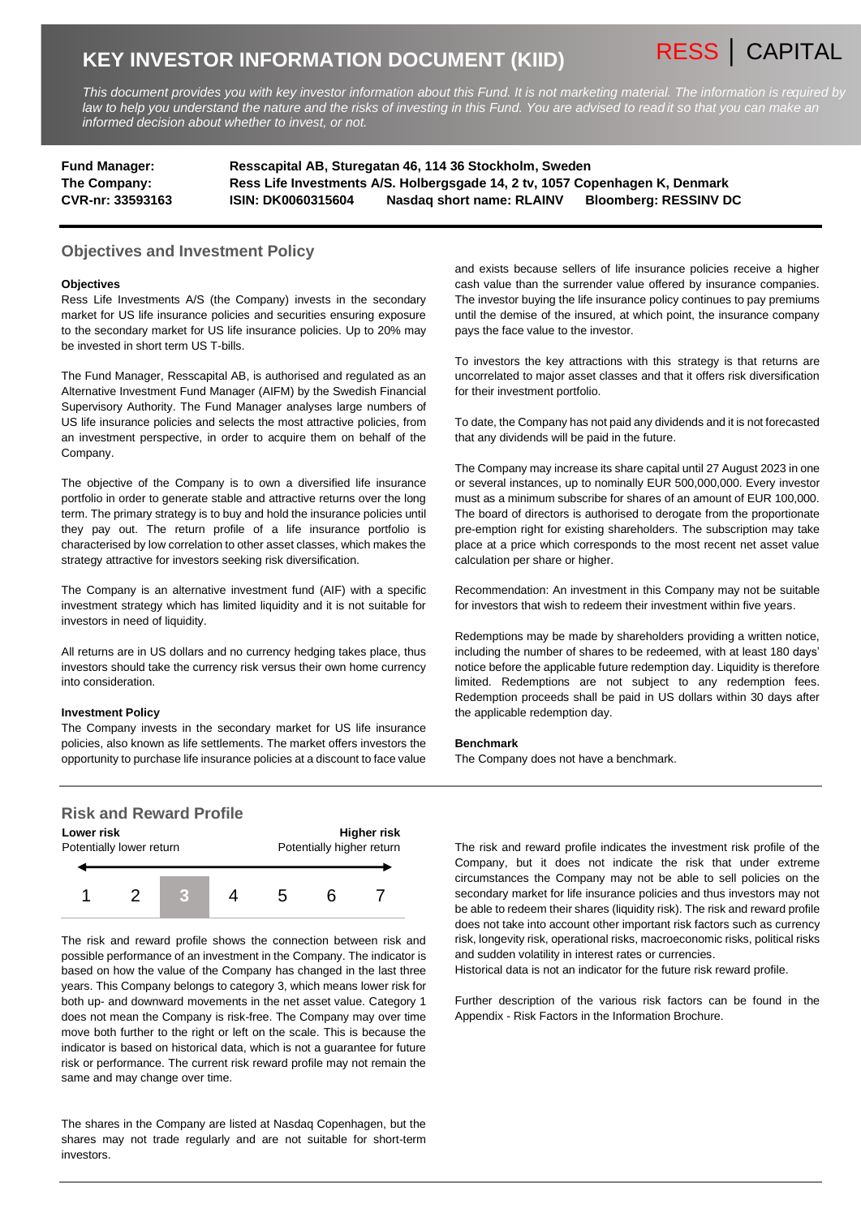# **KEY INVESTOR INFORMATION DOCUMENT (KIID)**

*This document provides you with key investor information about this Fund. It is not marketing material. The information is required by law to help you understand the nature and the risks of investing in this Fund. You are advised to read it so that you can make an informed decision about whether to invest, or not.*

| <b>Fund Manager:</b> | Resscapital AB, Sturegatan 46, 114 36 Stockholm, Sweden                      |                           |                              |
|----------------------|------------------------------------------------------------------------------|---------------------------|------------------------------|
| The Company:         | Ress Life Investments A/S. Holbergsgade 14, 2 tv, 1057 Copenhagen K, Denmark |                           |                              |
| CVR-nr: 33593163     | <b>ISIN: DK0060315604</b>                                                    | Nasdag short name: RLAINV | <b>Bloomberg: RESSINV DC</b> |

## **Objectives and Investment Policy**

#### **Objectives**

Ress Life Investments A/S (the Company) invests in the secondary market for US life insurance policies and securities ensuring exposure to the secondary market for US life insurance policies. Up to 20% may be invested in short term US T-bills.

The Fund Manager, Resscapital AB, is authorised and regulated as an Alternative Investment Fund Manager (AIFM) by the Swedish Financial Supervisory Authority. The Fund Manager analyses large numbers of US life insurance policies and selects the most attractive policies, from an investment perspective, in order to acquire them on behalf of the Company.

The objective of the Company is to own a diversified life insurance portfolio in order to generate stable and attractive returns over the long term. The primary strategy is to buy and hold the insurance policies until they pay out. The return profile of a life insurance portfolio is characterised by low correlation to other asset classes, which makes the strategy attractive for investors seeking risk diversification.

The Company is an alternative investment fund (AIF) with a specific investment strategy which has limited liquidity and it is not suitable for investors in need of liquidity.

All returns are in US dollars and no currency hedging takes place, thus investors should take the currency risk versus their own home currency into consideration.

#### **Investment Policy**

The Company invests in the secondary market for US life insurance policies, also known as life settlements. The market offers investors the opportunity to purchase life insurance policies at a discount to face value

# **Risk and Reward Profile**



The risk and reward profile shows the connection between risk and possible performance of an investment in the Company. The indicator is based on how the value of the Company has changed in the last three years. This Company belongs to category 3, which means lower risk for both up- and downward movements in the net asset value. Category 1 does not mean the Company is risk-free. The Company may over time move both further to the right or left on the scale. This is because the indicator is based on historical data, which is not a guarantee for future risk or performance. The current risk reward profile may not remain the same and may change over time.

The shares in the Company are listed at Nasdaq Copenhagen, but the shares may not trade regularly and are not suitable for short-term investors.

and exists because sellers of life insurance policies receive a higher cash value than the surrender value offered by insurance companies. The investor buying the life insurance policy continues to pay premiums until the demise of the insured, at which point, the insurance company pays the face value to the investor.

RESS │ CAPITAL

To investors the key attractions with this strategy is that returns are uncorrelated to major asset classes and that it offers risk diversification for their investment portfolio.

To date, the Company has not paid any dividends and it is not forecasted that any dividends will be paid in the future.

The Company may increase its share capital until 27 August 2023 in one or several instances, up to nominally EUR 500,000,000. Every investor must as a minimum subscribe for shares of an amount of EUR 100,000. The board of directors is authorised to derogate from the proportionate pre-emption right for existing shareholders. The subscription may take place at a price which corresponds to the most recent net asset value calculation per share or higher.

Recommendation: An investment in this Company may not be suitable for investors that wish to redeem their investment within five years.

Redemptions may be made by shareholders providing a written notice, including the number of shares to be redeemed, with at least 180 days' notice before the applicable future redemption day. Liquidity is therefore limited. Redemptions are not subject to any redemption fees. Redemption proceeds shall be paid in US dollars within 30 days after the applicable redemption day.

#### **Benchmark**

The Company does not have a benchmark.

The risk and reward profile indicates the investment risk profile of the Company, but it does not indicate the risk that under extreme circumstances the Company may not be able to sell policies on the secondary market for life insurance policies and thus investors may not be able to redeem their shares (liquidity risk). The risk and reward profile does not take into account other important risk factors such as currency risk, longevity risk, operational risks, macroeconomic risks, political risks and sudden volatility in interest rates or currencies.

Historical data is not an indicator for the future risk reward profile.

Further description of the various risk factors can be found in the Appendix - Risk Factors in the Information Brochure.